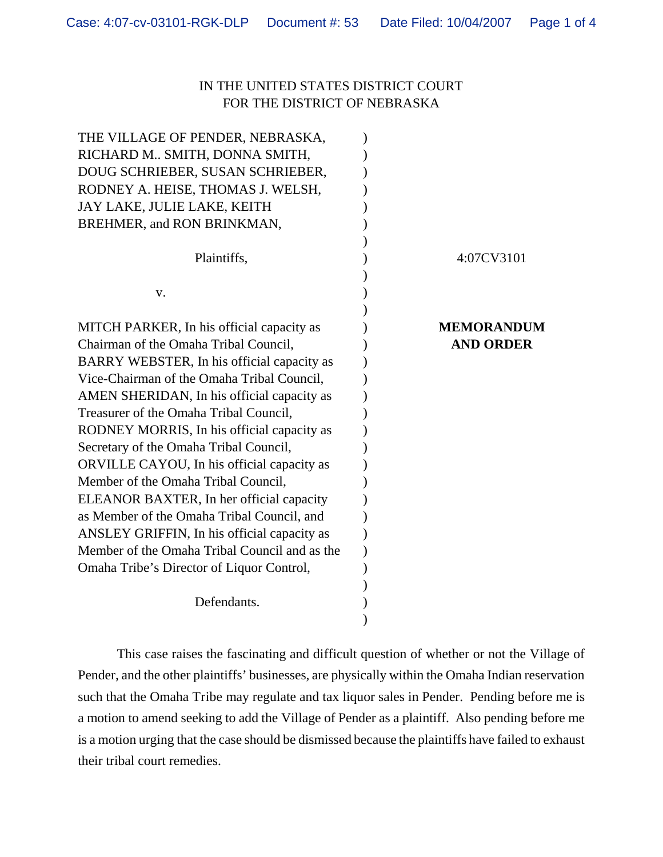## IN THE UNITED STATES DISTRICT COURT FOR THE DISTRICT OF NEBRASKA

| THE VILLAGE OF PENDER, NEBRASKA,              |                   |
|-----------------------------------------------|-------------------|
| RICHARD M SMITH, DONNA SMITH,                 |                   |
| DOUG SCHRIEBER, SUSAN SCHRIEBER,              |                   |
| RODNEY A. HEISE, THOMAS J. WELSH,             |                   |
| JAY LAKE, JULIE LAKE, KEITH                   |                   |
| BREHMER, and RON BRINKMAN,                    |                   |
|                                               |                   |
| Plaintiffs,                                   | 4:07CV3101        |
|                                               |                   |
| V.                                            |                   |
|                                               |                   |
| MITCH PARKER, In his official capacity as     | <b>MEMORANDUM</b> |
| Chairman of the Omaha Tribal Council,         | <b>AND ORDER</b>  |
| BARRY WEBSTER, In his official capacity as    |                   |
| Vice-Chairman of the Omaha Tribal Council,    |                   |
| AMEN SHERIDAN, In his official capacity as    |                   |
| Treasurer of the Omaha Tribal Council,        |                   |
| RODNEY MORRIS, In his official capacity as    |                   |
| Secretary of the Omaha Tribal Council,        |                   |
| ORVILLE CAYOU, In his official capacity as    |                   |
| Member of the Omaha Tribal Council,           |                   |
| ELEANOR BAXTER, In her official capacity      |                   |
| as Member of the Omaha Tribal Council, and    |                   |
| ANSLEY GRIFFIN, In his official capacity as   |                   |
| Member of the Omaha Tribal Council and as the |                   |
| Omaha Tribe's Director of Liquor Control,     |                   |
|                                               |                   |
| Defendants.                                   |                   |
|                                               |                   |

This case raises the fascinating and difficult question of whether or not the Village of Pender, and the other plaintiffs' businesses, are physically within the Omaha Indian reservation such that the Omaha Tribe may regulate and tax liquor sales in Pender. Pending before me is a motion to amend seeking to add the Village of Pender as a plaintiff. Also pending before me is a motion urging that the case should be dismissed because the plaintiffs have failed to exhaust their tribal court remedies.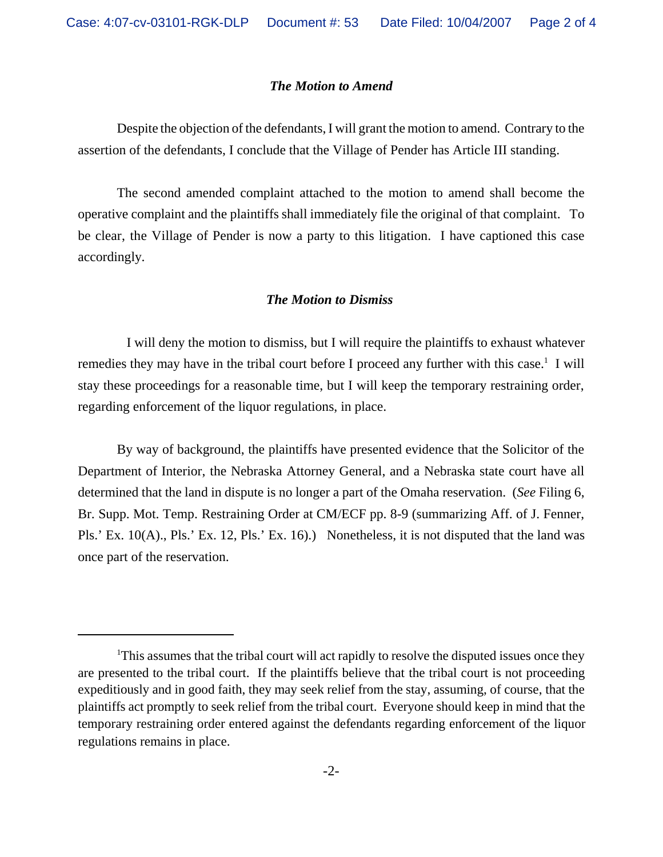## *The Motion to Amend*

Despite the objection of the defendants, I will grant the motion to amend. Contrary to the assertion of the defendants, I conclude that the Village of Pender has Article III standing.

The second amended complaint attached to the motion to amend shall become the operative complaint and the plaintiffs shall immediately file the original of that complaint. To be clear, the Village of Pender is now a party to this litigation. I have captioned this case accordingly.

## *The Motion to Dismiss*

 I will deny the motion to dismiss, but I will require the plaintiffs to exhaust whatever remedies they may have in the tribal court before I proceed any further with this case.<sup>1</sup> I will stay these proceedings for a reasonable time, but I will keep the temporary restraining order, regarding enforcement of the liquor regulations, in place.

By way of background, the plaintiffs have presented evidence that the Solicitor of the Department of Interior, the Nebraska Attorney General, and a Nebraska state court have all determined that the land in dispute is no longer a part of the Omaha reservation. (*See* Filing 6, Br. Supp. Mot. Temp. Restraining Order at CM/ECF pp. 8-9 (summarizing Aff. of J. Fenner, Pls.' Ex. 10(A)., Pls.' Ex. 12, Pls.' Ex. 16).) Nonetheless, it is not disputed that the land was once part of the reservation.

<sup>&</sup>lt;sup>1</sup>This assumes that the tribal court will act rapidly to resolve the disputed issues once they are presented to the tribal court. If the plaintiffs believe that the tribal court is not proceeding expeditiously and in good faith, they may seek relief from the stay, assuming, of course, that the plaintiffs act promptly to seek relief from the tribal court. Everyone should keep in mind that the temporary restraining order entered against the defendants regarding enforcement of the liquor regulations remains in place.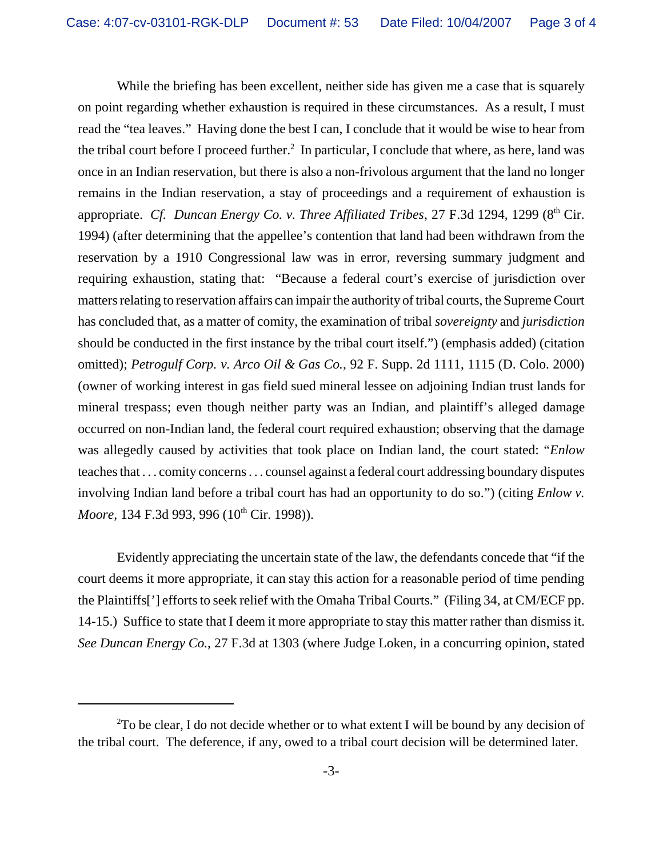While the briefing has been excellent, neither side has given me a case that is squarely on point regarding whether exhaustion is required in these circumstances. As a result, I must read the "tea leaves." Having done the best I can, I conclude that it would be wise to hear from the tribal court before I proceed further.<sup>2</sup> In particular, I conclude that where, as here, land was once in an Indian reservation, but there is also a non-frivolous argument that the land no longer remains in the Indian reservation, a stay of proceedings and a requirement of exhaustion is appropriate. *Cf. Duncan Energy Co. v. Three Affiliated Tribes, 27 F.3d 1294, 1299 (8<sup>th</sup> Cir.* 1994) (after determining that the appellee's contention that land had been withdrawn from the reservation by a 1910 Congressional law was in error, reversing summary judgment and requiring exhaustion, stating that: "Because a federal court's exercise of jurisdiction over matters relating to reservation affairs can impair the authority of tribal courts, the Supreme Court has concluded that, as a matter of comity, the examination of tribal *sovereignty* and *jurisdiction* should be conducted in the first instance by the tribal court itself.") (emphasis added) (citation omitted); *Petrogulf Corp. v. Arco Oil & Gas Co.*, 92 F. Supp. 2d 1111, 1115 (D. Colo. 2000) (owner of working interest in gas field sued mineral lessee on adjoining Indian trust lands for mineral trespass; even though neither party was an Indian, and plaintiff's alleged damage occurred on non-Indian land, the federal court required exhaustion; observing that the damage was allegedly caused by activities that took place on Indian land, the court stated: "*Enlow* teachesthat . . . comity concerns. . . counsel against a federal court addressing boundary disputes involving Indian land before a tribal court has had an opportunity to do so.") (citing *Enlow v. Moore*, 134 F.3d 993, 996 (10<sup>th</sup> Cir. 1998)).

Evidently appreciating the uncertain state of the law, the defendants concede that "if the court deems it more appropriate, it can stay this action for a reasonable period of time pending the Plaintiffs<sup>['</sup>] efforts to seek relief with the Omaha Tribal Courts." (Filing 34, at CM/ECF pp. 14-15.) Suffice to state that I deem it more appropriate to stay this matter rather than dismiss it. *See Duncan Energy Co.*, 27 F.3d at 1303 (where Judge Loken, in a concurring opinion, stated

 $2$ To be clear, I do not decide whether or to what extent I will be bound by any decision of the tribal court. The deference, if any, owed to a tribal court decision will be determined later.